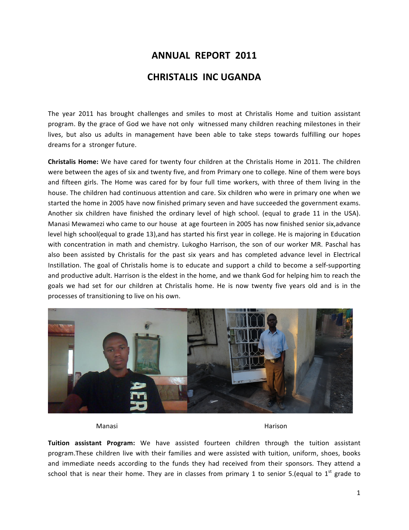## **ANNUAL REPORT 2011 CHRISTALIS INC UGANDA**

The year 2011 has brought challenges and smiles to most at Christalis Home and tuition assistant program. By the grace of God we have not only witnessed many children reaching milestones in their lives, but also us adults in management have been able to take steps towards fulfilling our hopes dreams for a stronger future.

**Christalis Home:** We have cared for twenty four children at the Christalis Home in 2011. The children were between the ages of six and twenty five, and from Primary one to college. Nine of them were boys and fifteen girls. The Home was cared for by four full time workers, with three of them living in the house. The children had continuous attention and care. Six children who were in primary one when we started the home in 2005 have now finished primary seven and have succeeded the government exams. Another six children have finished the ordinary level of high school. (equal to grade 11 in the USA). Manasi Mewamezi who came to our house at age fourteen in 2005 has now finished senior six, advance level high school(equal to grade 13),and has started his first year in college. He is majoring in Education with concentration in math and chemistry. Lukogho Harrison, the son of our worker MR. Paschal has also been assisted by Christalis for the past six years and has completed advance level in Electrical Instillation. The goal of Christalis home is to educate and support a child to become a self-supporting and productive adult. Harrison is the eldest in the home, and we thank God for helping him to reach the goals we had set for our children at Christalis home. He is now twenty five years old and is in the processes of transitioning to live on his own.



Manasi **Manasi** Harison

**Tuition assistant Program:** We have assisted fourteen children through the tuition assistant program.These children live with their families and were assisted with tuition, uniform, shoes, books and immediate needs according to the funds they had received from their sponsors. They attend a school that is near their home. They are in classes from primary 1 to senior 5.(equal to  $1<sup>st</sup>$  grade to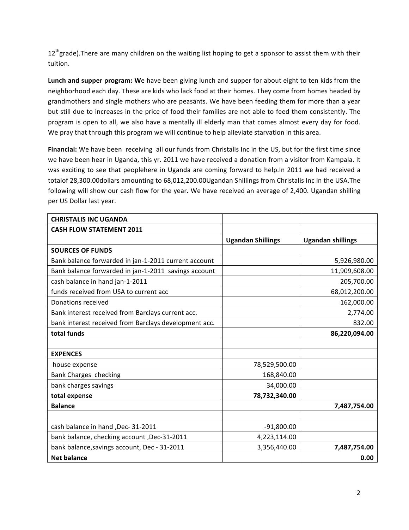$12<sup>th</sup>$ grade).There are many children on the waiting list hoping to get a sponsor to assist them with their tuition.

**Lunch and supper program:** We have been giving lunch and supper for about eight to ten kids from the neighborhood each day. These are kids who lack food at their homes. They come from homes headed by grandmothers and single mothers who are peasants. We have been feeding them for more than a year but still due to increases in the price of food their families are not able to feed them consistently. The program is open to all, we also have a mentally ill elderly man that comes almost every day for food. We pray that through this program we will continue to help alleviate starvation in this area.

**Financial:** We have been receiving all our funds from Christalis Inc in the US, but for the first time since we have been hear in Uganda, this yr. 2011 we have received a donation from a visitor from Kampala. It was exciting to see that peoplehere in Uganda are coming forward to help.In 2011 we had received a totalof 28,300.00dollars amounting to 68,012,200.00Ugandan Shillings from Christalis Inc in the USA.The following will show our cash flow for the year. We have received an average of 2,400. Ugandan shilling per US Dollar last year.

| <b>CHRISTALIS INC UGANDA</b>                          |                          |                          |  |  |
|-------------------------------------------------------|--------------------------|--------------------------|--|--|
| <b>CASH FLOW STATEMENT 2011</b>                       |                          |                          |  |  |
|                                                       | <b>Ugandan Shillings</b> | <b>Ugandan shillings</b> |  |  |
| <b>SOURCES OF FUNDS</b>                               |                          |                          |  |  |
| Bank balance forwarded in jan-1-2011 current account  |                          | 5,926,980.00             |  |  |
| Bank balance forwarded in jan-1-2011 savings account  |                          | 11,909,608.00            |  |  |
| cash balance in hand jan-1-2011                       |                          | 205,700.00               |  |  |
| funds received from USA to current acc                |                          | 68,012,200.00            |  |  |
| Donations received                                    |                          | 162,000.00               |  |  |
| Bank interest received from Barclays current acc.     |                          | 2,774.00                 |  |  |
| bank interest received from Barclays development acc. |                          | 832.00                   |  |  |
| total funds                                           |                          | 86,220,094.00            |  |  |
|                                                       |                          |                          |  |  |
| <b>EXPENCES</b>                                       |                          |                          |  |  |
| house expense                                         | 78,529,500.00            |                          |  |  |
| Bank Charges checking                                 | 168,840.00               |                          |  |  |
| bank charges savings                                  | 34,000.00                |                          |  |  |
| total expense                                         | 78,732,340.00            |                          |  |  |
| <b>Balance</b>                                        |                          | 7,487,754.00             |  |  |
|                                                       |                          |                          |  |  |
| cash balance in hand , Dec- 31-2011                   | $-91,800.00$             |                          |  |  |
| bank balance, checking account, Dec-31-2011           | 4,223,114.00             |                          |  |  |
| bank balance, savings account, Dec - 31-2011          | 3,356,440.00             | 7,487,754.00             |  |  |
| <b>Net balance</b>                                    |                          | 0.00                     |  |  |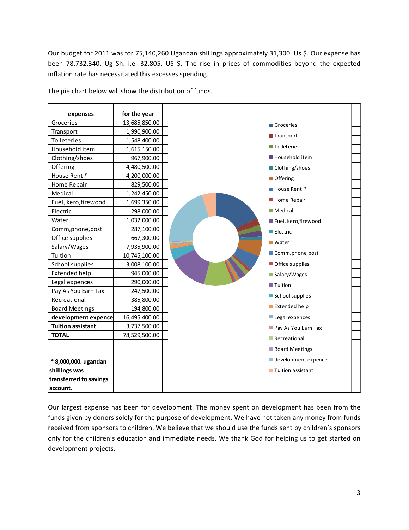Our budget for 2011 was for 75,140,260 Ugandan shillings approximately 31,300. Us \$. Our expense has been 78,732,340. Ug Sh. i.e. 32,805. US \$. The rise in prices of commodities beyond the expected inflation rate has necessitated this excesses spending.

| expenses                 | for the year  |                          |  |
|--------------------------|---------------|--------------------------|--|
| Groceries                | 13,685,850.00 | Groceries                |  |
| Transport                | 1,990,900.00  | Transport                |  |
| Toileteries              | 1,548,400.00  | <b>Toileteries</b>       |  |
| Household item           | 1,615,150.00  |                          |  |
| Clothing/shoes           | 967,900.00    | Household item           |  |
| Offering                 | 4,480,500.00  | ■ Clothing/shoes         |  |
| House Rent*              | 4,200,000.00  | $\blacksquare$ Offering  |  |
| Home Repair              | 829,500.00    | House Rent *             |  |
| Medical                  | 1,242,450.00  |                          |  |
| Fuel, kero, firewood     | 1,699,350.00  | Home Repair              |  |
| Electric                 | 298,000.00    | <b>Medical</b>           |  |
| Water                    | 1,032,000.00  | Fuel, kero, firewood     |  |
| Comm, phone, post        | 287,100.00    | $\blacksquare$ Electric  |  |
| Office supplies          | 667,300.00    | $\blacksquare$ Water     |  |
| Salary/Wages             | 7,935,900.00  |                          |  |
| Tuition                  | 10,745,100.00 | Comm, phone, post        |  |
| School supplies          | 3,008,100.00  | Office supplies          |  |
| Extended help            | 945,000.00    | Salary/Wages             |  |
| Legal expences           | 290,000.00    | ■ Tuition                |  |
| Pay As You Earn Tax      | 247,500.00    | School supplies          |  |
| Recreational             | 385,800.00    |                          |  |
| <b>Board Meetings</b>    | 194,800.00    | Extended help            |  |
| development expence      | 16,495,400.00 | Legal expences           |  |
| <b>Tuition assistant</b> | 3,737,500.00  | Pay As You Earn Tax      |  |
| <b>TOTAL</b>             | 78,529,500.00 | Recreational             |  |
|                          |               | <b>Board Meetings</b>    |  |
| * 8,000,000. ugandan     |               | development expence      |  |
| shillings was            |               | <b>Tuition assistant</b> |  |
| transferred to savings   |               |                          |  |
| account.                 |               |                          |  |

The pie chart below will show the distribution of funds.

Our largest expense has been for development. The money spent on development has been from the funds given by donors solely for the purpose of development. We have not taken any money from funds received from sponsors to children. We believe that we should use the funds sent by children's sponsors only for the children's education and immediate needs. We thank God for helping us to get started on development projects.